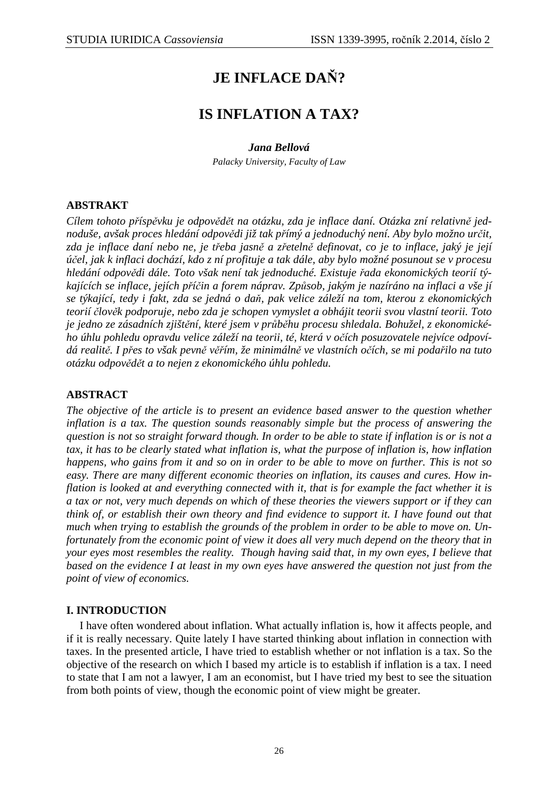# **JE INFLACE DAŇ?**

## **IS INFLATION A TAX?**

## *Jana Bellová*

*Palacky University, Faculty of Law* 

## **ABSTRAKT**

*Cílem tohoto příspěvku je odpovědět na otázku, zda je inflace daní. Otázka zní relativně jednoduše, avšak proces hledání odpovědi již tak přímý a jednoduchý není. Aby bylo možno určit, zda je inflace daní nebo ne, je třeba jasně a zřetelně definovat, co je to inflace, jaký je její účel, jak k inflaci dochází, kdo z ní profituje a tak dále, aby bylo možné posunout se v procesu hledání odpovědi dále. Toto však není tak jednoduché. Existuje řada ekonomických teorií týkajících se inflace, jejích příčin a forem náprav. Způsob, jakým je nazíráno na inflaci a vše jí se týkající, tedy i fakt, zda se jedná o daň, pak velice záleží na tom, kterou z ekonomických teorií člověk podporuje, nebo zda je schopen vymyslet a obhájit teorii svou vlastní teorii. Toto je jedno ze zásadních zjištění, které jsem v průběhu procesu shledala. Bohužel, z ekonomického úhlu pohledu opravdu velice záleží na teorii, té, která v očích posuzovatele nejvíce odpovídá realitě. I přes to však pevně věřím, že minimálně ve vlastních očích, se mi podařilo na tuto otázku odpovědět a to nejen z ekonomického úhlu pohledu.* 

## **ABSTRACT**

*The objective of the article is to present an evidence based answer to the question whether inflation is a tax. The question sounds reasonably simple but the process of answering the question is not so straight forward though. In order to be able to state if inflation is or is not a tax, it has to be clearly stated what inflation is, what the purpose of inflation is, how inflation happens, who gains from it and so on in order to be able to move on further. This is not so easy. There are many different economic theories on inflation, its causes and cures. How inflation is looked at and everything connected with it, that is for example the fact whether it is a tax or not, very much depends on which of these theories the viewers support or if they can think of, or establish their own theory and find evidence to support it. I have found out that much when trying to establish the grounds of the problem in order to be able to move on. Unfortunately from the economic point of view it does all very much depend on the theory that in your eyes most resembles the reality. Though having said that, in my own eyes, I believe that based on the evidence I at least in my own eyes have answered the question not just from the point of view of economics.* 

## **I. INTRODUCTION**

I have often wondered about inflation. What actually inflation is, how it affects people, and if it is really necessary. Quite lately I have started thinking about inflation in connection with taxes. In the presented article, I have tried to establish whether or not inflation is a tax. So the objective of the research on which I based my article is to establish if inflation is a tax. I need to state that I am not a lawyer, I am an economist, but I have tried my best to see the situation from both points of view, though the economic point of view might be greater.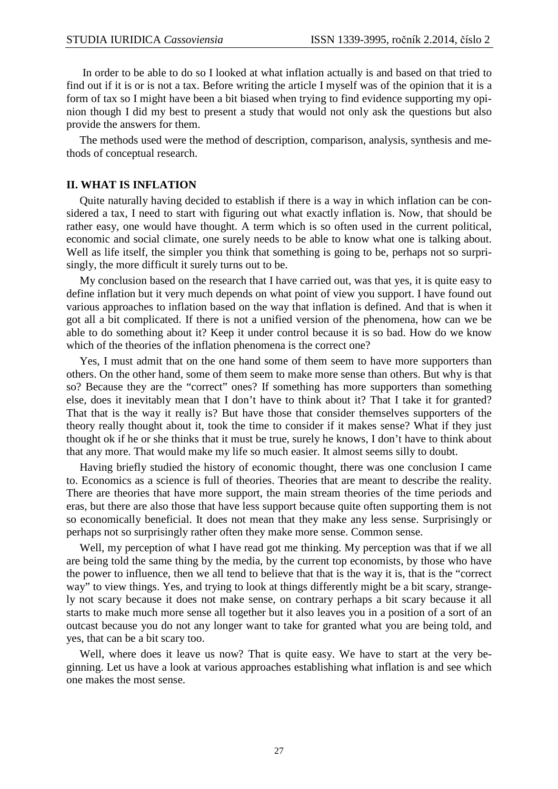In order to be able to do so I looked at what inflation actually is and based on that tried to find out if it is or is not a tax. Before writing the article I myself was of the opinion that it is a form of tax so I might have been a bit biased when trying to find evidence supporting my opinion though I did my best to present a study that would not only ask the questions but also provide the answers for them.

The methods used were the method of description, comparison, analysis, synthesis and methods of conceptual research.

#### **II. WHAT IS INFLATION**

Quite naturally having decided to establish if there is a way in which inflation can be considered a tax, I need to start with figuring out what exactly inflation is. Now, that should be rather easy, one would have thought. A term which is so often used in the current political, economic and social climate, one surely needs to be able to know what one is talking about. Well as life itself, the simpler you think that something is going to be, perhaps not so surprisingly, the more difficult it surely turns out to be.

My conclusion based on the research that I have carried out, was that yes, it is quite easy to define inflation but it very much depends on what point of view you support. I have found out various approaches to inflation based on the way that inflation is defined. And that is when it got all a bit complicated. If there is not a unified version of the phenomena, how can we be able to do something about it? Keep it under control because it is so bad. How do we know which of the theories of the inflation phenomena is the correct one?

Yes, I must admit that on the one hand some of them seem to have more supporters than others. On the other hand, some of them seem to make more sense than others. But why is that so? Because they are the "correct" ones? If something has more supporters than something else, does it inevitably mean that I don't have to think about it? That I take it for granted? That that is the way it really is? But have those that consider themselves supporters of the theory really thought about it, took the time to consider if it makes sense? What if they just thought ok if he or she thinks that it must be true, surely he knows, I don't have to think about that any more. That would make my life so much easier. It almost seems silly to doubt.

Having briefly studied the history of economic thought, there was one conclusion I came to. Economics as a science is full of theories. Theories that are meant to describe the reality. There are theories that have more support, the main stream theories of the time periods and eras, but there are also those that have less support because quite often supporting them is not so economically beneficial. It does not mean that they make any less sense. Surprisingly or perhaps not so surprisingly rather often they make more sense. Common sense.

Well, my perception of what I have read got me thinking. My perception was that if we all are being told the same thing by the media, by the current top economists, by those who have the power to influence, then we all tend to believe that that is the way it is, that is the "correct way" to view things. Yes, and trying to look at things differently might be a bit scary, strangely not scary because it does not make sense, on contrary perhaps a bit scary because it all starts to make much more sense all together but it also leaves you in a position of a sort of an outcast because you do not any longer want to take for granted what you are being told, and yes, that can be a bit scary too.

Well, where does it leave us now? That is quite easy. We have to start at the very beginning. Let us have a look at various approaches establishing what inflation is and see which one makes the most sense.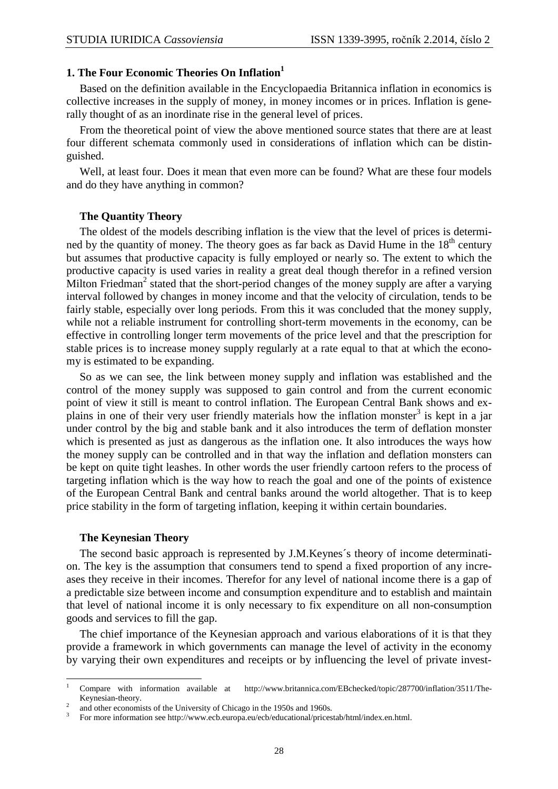## **1. The Four Economic Theories On Inflation<sup>1</sup>**

Based on the definition available in the Encyclopaedia Britannica inflation in economics is collective increases in the supply of money, in money incomes or in prices. Inflation is generally thought of as an inordinate rise in the general level of prices.

From the theoretical point of view the above mentioned source states that there are at least four different schemata commonly used in considerations of inflation which can be distinguished.

Well, at least four. Does it mean that even more can be found? What are these four models and do they have anything in common?

#### **The Quantity Theory**

The oldest of the models describing inflation is the view that the level of prices is determined by the quantity of money. The theory goes as far back as David Hume in the  $18<sup>th</sup>$  century but assumes that productive capacity is fully employed or nearly so. The extent to which the productive capacity is used varies in reality a great deal though therefor in a refined version Milton Friedman<sup>2</sup> stated that the short-period changes of the money supply are after a varying interval followed by changes in money income and that the velocity of circulation, tends to be fairly stable, especially over long periods. From this it was concluded that the money supply, while not a reliable instrument for controlling short-term movements in the economy, can be effective in controlling longer term movements of the price level and that the prescription for stable prices is to increase money supply regularly at a rate equal to that at which the economy is estimated to be expanding.

So as we can see, the link between money supply and inflation was established and the control of the money supply was supposed to gain control and from the current economic point of view it still is meant to control inflation. The European Central Bank shows and explains in one of their very user friendly materials how the inflation monster<sup>3</sup> is kept in a jar under control by the big and stable bank and it also introduces the term of deflation monster which is presented as just as dangerous as the inflation one. It also introduces the ways how the money supply can be controlled and in that way the inflation and deflation monsters can be kept on quite tight leashes. In other words the user friendly cartoon refers to the process of targeting inflation which is the way how to reach the goal and one of the points of existence of the European Central Bank and central banks around the world altogether. That is to keep price stability in the form of targeting inflation, keeping it within certain boundaries.

#### **The Keynesian Theory**

l

The second basic approach is represented by J.M.Keynes´s theory of income determination. The key is the assumption that consumers tend to spend a fixed proportion of any increases they receive in their incomes. Therefor for any level of national income there is a gap of a predictable size between income and consumption expenditure and to establish and maintain that level of national income it is only necessary to fix expenditure on all non-consumption goods and services to fill the gap.

The chief importance of the Keynesian approach and various elaborations of it is that they provide a framework in which governments can manage the level of activity in the economy by varying their own expenditures and receipts or by influencing the level of private invest-

<sup>1</sup> Compare with information available at http://www.britannica.com/EBchecked/topic/287700/inflation/3511/The-Keynesian-theory.

<sup>2</sup> and other economists of the University of Chicago in the 1950s and 1960s.

<sup>3</sup> For more information see http://www.ecb.europa.eu/ecb/educational/pricestab/html/index.en.html.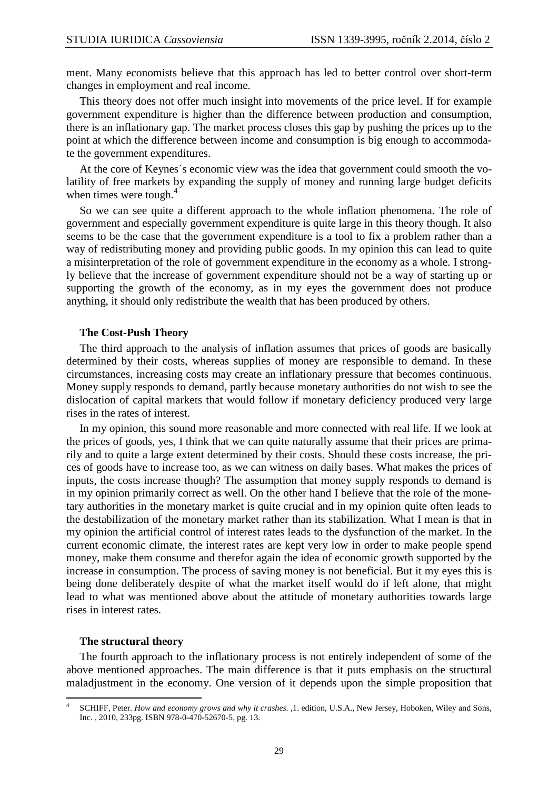ment. Many economists believe that this approach has led to better control over short-term changes in employment and real income.

This theory does not offer much insight into movements of the price level. If for example government expenditure is higher than the difference between production and consumption, there is an inflationary gap. The market process closes this gap by pushing the prices up to the point at which the difference between income and consumption is big enough to accommodate the government expenditures.

At the core of Keynes´s economic view was the idea that government could smooth the volatility of free markets by expanding the supply of money and running large budget deficits when times were tough.<sup>4</sup>

So we can see quite a different approach to the whole inflation phenomena. The role of government and especially government expenditure is quite large in this theory though. It also seems to be the case that the government expenditure is a tool to fix a problem rather than a way of redistributing money and providing public goods. In my opinion this can lead to quite a misinterpretation of the role of government expenditure in the economy as a whole. I strongly believe that the increase of government expenditure should not be a way of starting up or supporting the growth of the economy, as in my eyes the government does not produce anything, it should only redistribute the wealth that has been produced by others.

#### **The Cost-Push Theory**

The third approach to the analysis of inflation assumes that prices of goods are basically determined by their costs, whereas supplies of money are responsible to demand. In these circumstances, increasing costs may create an inflationary pressure that becomes continuous. Money supply responds to demand, partly because monetary authorities do not wish to see the dislocation of capital markets that would follow if monetary deficiency produced very large rises in the rates of interest.

In my opinion, this sound more reasonable and more connected with real life. If we look at the prices of goods, yes, I think that we can quite naturally assume that their prices are primarily and to quite a large extent determined by their costs. Should these costs increase, the prices of goods have to increase too, as we can witness on daily bases. What makes the prices of inputs, the costs increase though? The assumption that money supply responds to demand is in my opinion primarily correct as well. On the other hand I believe that the role of the monetary authorities in the monetary market is quite crucial and in my opinion quite often leads to the destabilization of the monetary market rather than its stabilization. What I mean is that in my opinion the artificial control of interest rates leads to the dysfunction of the market. In the current economic climate, the interest rates are kept very low in order to make people spend money, make them consume and therefor again the idea of economic growth supported by the increase in consumption. The process of saving money is not beneficial. But it my eyes this is being done deliberately despite of what the market itself would do if left alone, that might lead to what was mentioned above about the attitude of monetary authorities towards large rises in interest rates.

#### **The structural theory**

l

The fourth approach to the inflationary process is not entirely independent of some of the above mentioned approaches. The main difference is that it puts emphasis on the structural maladjustment in the economy. One version of it depends upon the simple proposition that

<sup>4</sup> SCHIFF, Peter. *How and economy grows and why it crashes.* ,1. edition, U.S.A., New Jersey, Hoboken, Wiley and Sons, Inc. , 2010, 233pg. ISBN 978-0-470-52670-5, pg. 13.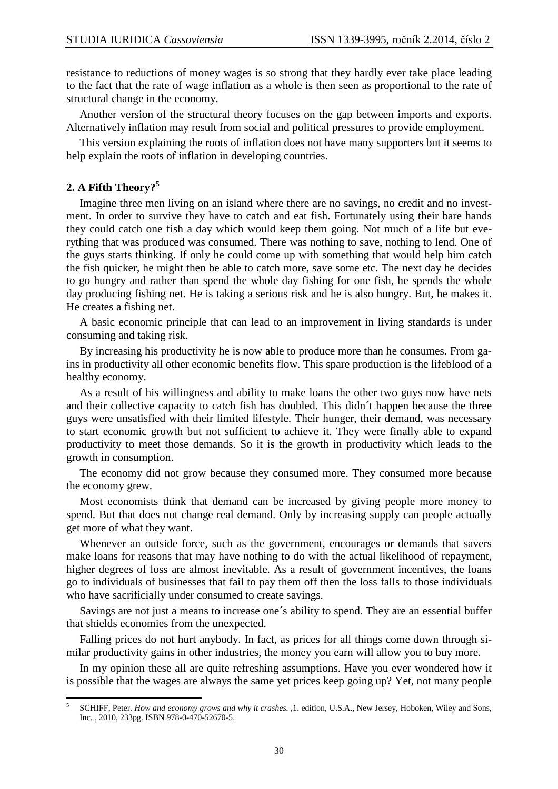resistance to reductions of money wages is so strong that they hardly ever take place leading to the fact that the rate of wage inflation as a whole is then seen as proportional to the rate of structural change in the economy.

Another version of the structural theory focuses on the gap between imports and exports. Alternatively inflation may result from social and political pressures to provide employment.

This version explaining the roots of inflation does not have many supporters but it seems to help explain the roots of inflation in developing countries.

### **2. A Fifth Theory?<sup>5</sup>**

l

Imagine three men living on an island where there are no savings, no credit and no investment. In order to survive they have to catch and eat fish. Fortunately using their bare hands they could catch one fish a day which would keep them going. Not much of a life but everything that was produced was consumed. There was nothing to save, nothing to lend. One of the guys starts thinking. If only he could come up with something that would help him catch the fish quicker, he might then be able to catch more, save some etc. The next day he decides to go hungry and rather than spend the whole day fishing for one fish, he spends the whole day producing fishing net. He is taking a serious risk and he is also hungry. But, he makes it. He creates a fishing net.

A basic economic principle that can lead to an improvement in living standards is under consuming and taking risk.

By increasing his productivity he is now able to produce more than he consumes. From gains in productivity all other economic benefits flow. This spare production is the lifeblood of a healthy economy.

As a result of his willingness and ability to make loans the other two guys now have nets and their collective capacity to catch fish has doubled. This didn´t happen because the three guys were unsatisfied with their limited lifestyle. Their hunger, their demand, was necessary to start economic growth but not sufficient to achieve it. They were finally able to expand productivity to meet those demands. So it is the growth in productivity which leads to the growth in consumption.

The economy did not grow because they consumed more. They consumed more because the economy grew.

Most economists think that demand can be increased by giving people more money to spend. But that does not change real demand. Only by increasing supply can people actually get more of what they want.

Whenever an outside force, such as the government, encourages or demands that savers make loans for reasons that may have nothing to do with the actual likelihood of repayment, higher degrees of loss are almost inevitable. As a result of government incentives, the loans go to individuals of businesses that fail to pay them off then the loss falls to those individuals who have sacrificially under consumed to create savings.

Savings are not just a means to increase one´s ability to spend. They are an essential buffer that shields economies from the unexpected.

Falling prices do not hurt anybody. In fact, as prices for all things come down through similar productivity gains in other industries, the money you earn will allow you to buy more.

In my opinion these all are quite refreshing assumptions. Have you ever wondered how it is possible that the wages are always the same yet prices keep going up? Yet, not many people

<sup>5</sup> SCHIFF, Peter. *How and economy grows and why it crashes.* ,1. edition, U.S.A., New Jersey, Hoboken, Wiley and Sons, Inc. , 2010, 233pg. ISBN 978-0-470-52670-5.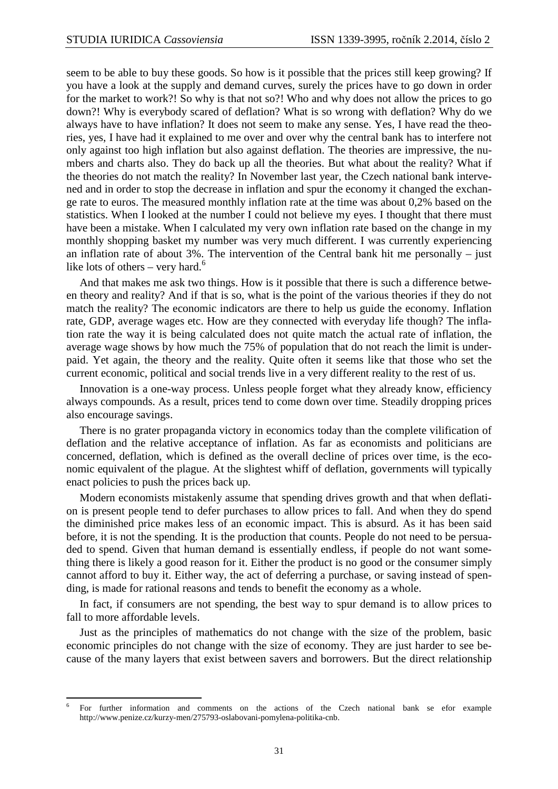l

seem to be able to buy these goods. So how is it possible that the prices still keep growing? If you have a look at the supply and demand curves, surely the prices have to go down in order for the market to work?! So why is that not so?! Who and why does not allow the prices to go down?! Why is everybody scared of deflation? What is so wrong with deflation? Why do we always have to have inflation? It does not seem to make any sense. Yes, I have read the theories, yes, I have had it explained to me over and over why the central bank has to interfere not only against too high inflation but also against deflation. The theories are impressive, the numbers and charts also. They do back up all the theories. But what about the reality? What if the theories do not match the reality? In November last year, the Czech national bank intervened and in order to stop the decrease in inflation and spur the economy it changed the exchange rate to euros. The measured monthly inflation rate at the time was about 0,2% based on the statistics. When I looked at the number I could not believe my eyes. I thought that there must have been a mistake. When I calculated my very own inflation rate based on the change in my monthly shopping basket my number was very much different. I was currently experiencing an inflation rate of about 3%. The intervention of the Central bank hit me personally – just like lots of others – very hard.<sup>6</sup>

And that makes me ask two things. How is it possible that there is such a difference between theory and reality? And if that is so, what is the point of the various theories if they do not match the reality? The economic indicators are there to help us guide the economy. Inflation rate, GDP, average wages etc. How are they connected with everyday life though? The inflation rate the way it is being calculated does not quite match the actual rate of inflation, the average wage shows by how much the 75% of population that do not reach the limit is underpaid. Yet again, the theory and the reality. Quite often it seems like that those who set the current economic, political and social trends live in a very different reality to the rest of us.

Innovation is a one-way process. Unless people forget what they already know, efficiency always compounds. As a result, prices tend to come down over time. Steadily dropping prices also encourage savings.

There is no grater propaganda victory in economics today than the complete vilification of deflation and the relative acceptance of inflation. As far as economists and politicians are concerned, deflation, which is defined as the overall decline of prices over time, is the economic equivalent of the plague. At the slightest whiff of deflation, governments will typically enact policies to push the prices back up.

Modern economists mistakenly assume that spending drives growth and that when deflation is present people tend to defer purchases to allow prices to fall. And when they do spend the diminished price makes less of an economic impact. This is absurd. As it has been said before, it is not the spending. It is the production that counts. People do not need to be persuaded to spend. Given that human demand is essentially endless, if people do not want something there is likely a good reason for it. Either the product is no good or the consumer simply cannot afford to buy it. Either way, the act of deferring a purchase, or saving instead of spending, is made for rational reasons and tends to benefit the economy as a whole.

In fact, if consumers are not spending, the best way to spur demand is to allow prices to fall to more affordable levels.

Just as the principles of mathematics do not change with the size of the problem, basic economic principles do not change with the size of economy. They are just harder to see because of the many layers that exist between savers and borrowers. But the direct relationship

<sup>6</sup> For further information and comments on the actions of the Czech national bank se efor example http://www.penize.cz/kurzy-men/275793-oslabovani-pomylena-politika-cnb.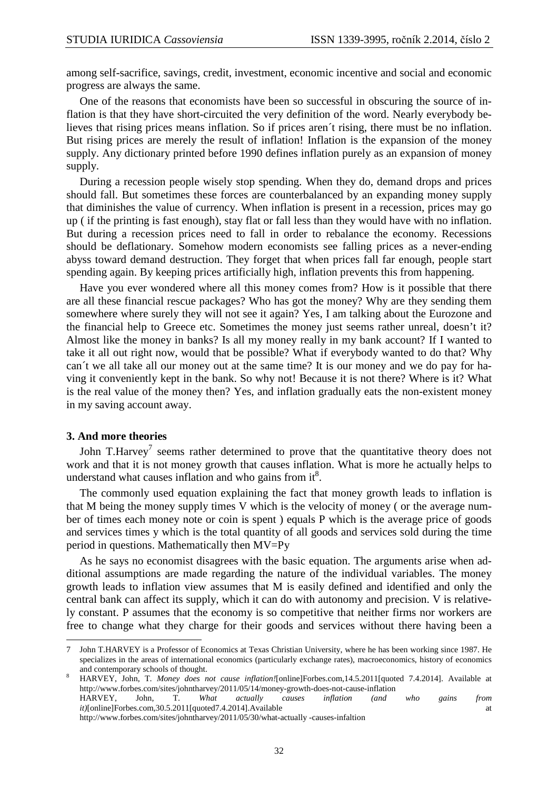among self-sacrifice, savings, credit, investment, economic incentive and social and economic progress are always the same.

One of the reasons that economists have been so successful in obscuring the source of inflation is that they have short-circuited the very definition of the word. Nearly everybody believes that rising prices means inflation. So if prices aren´t rising, there must be no inflation. But rising prices are merely the result of inflation! Inflation is the expansion of the money supply. Any dictionary printed before 1990 defines inflation purely as an expansion of money supply.

During a recession people wisely stop spending. When they do, demand drops and prices should fall. But sometimes these forces are counterbalanced by an expanding money supply that diminishes the value of currency. When inflation is present in a recession, prices may go up ( if the printing is fast enough), stay flat or fall less than they would have with no inflation. But during a recession prices need to fall in order to rebalance the economy. Recessions should be deflationary. Somehow modern economists see falling prices as a never-ending abyss toward demand destruction. They forget that when prices fall far enough, people start spending again. By keeping prices artificially high, inflation prevents this from happening.

Have you ever wondered where all this money comes from? How is it possible that there are all these financial rescue packages? Who has got the money? Why are they sending them somewhere where surely they will not see it again? Yes, I am talking about the Eurozone and the financial help to Greece etc. Sometimes the money just seems rather unreal, doesn't it? Almost like the money in banks? Is all my money really in my bank account? If I wanted to take it all out right now, would that be possible? What if everybody wanted to do that? Why can´t we all take all our money out at the same time? It is our money and we do pay for having it conveniently kept in the bank. So why not! Because it is not there? Where is it? What is the real value of the money then? Yes, and inflation gradually eats the non-existent money in my saving account away.

#### **3. And more theories**

 $\overline{a}$ 

John T.Harvey<sup>7</sup> seems rather determined to prove that the quantitative theory does not work and that it is not money growth that causes inflation. What is more he actually helps to understand what causes inflation and who gains from it<sup>8</sup>.

The commonly used equation explaining the fact that money growth leads to inflation is that M being the money supply times V which is the velocity of money ( or the average number of times each money note or coin is spent ) equals P which is the average price of goods and services times y which is the total quantity of all goods and services sold during the time period in questions. Mathematically then MV=Py

As he says no economist disagrees with the basic equation. The arguments arise when additional assumptions are made regarding the nature of the individual variables. The money growth leads to inflation view assumes that M is easily defined and identified and only the central bank can affect its supply, which it can do with autonomy and precision. V is relatively constant. P assumes that the economy is so competitive that neither firms nor workers are free to change what they charge for their goods and services without there having been a

<sup>7</sup> John T.HARVEY is a Professor of Economics at Texas Christian University, where he has been working since 1987. He specializes in the areas of international economics (particularly exchange rates), macroeconomics, history of economics and contemporary schools of thought.

<sup>8</sup> HARVEY, John, T. *Money does not cause inflation!*[online]Forbes.com,14.5.2011[quoted 7.4.2014]. Available at http://www.forbes.com/sites/johntharvey/2011/05/14/money-growth-does-not-cause-inflation

HARVEY, John, T. *What actually causes inflation (and who gains from it)*[online]Forbes.com,30.5.2011[quoted7.4.2014].Available at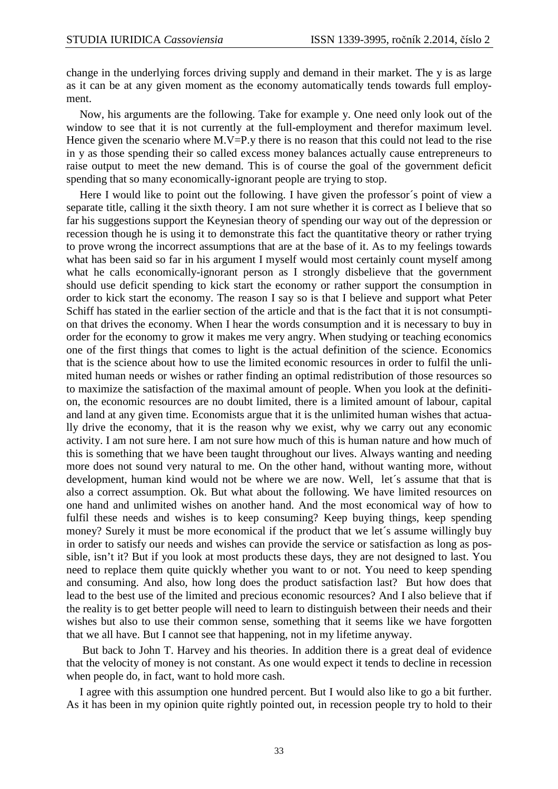change in the underlying forces driving supply and demand in their market. The y is as large as it can be at any given moment as the economy automatically tends towards full employment.

Now, his arguments are the following. Take for example y. One need only look out of the window to see that it is not currently at the full-employment and therefor maximum level. Hence given the scenario where  $M.V=P.y$  there is no reason that this could not lead to the rise in y as those spending their so called excess money balances actually cause entrepreneurs to raise output to meet the new demand. This is of course the goal of the government deficit spending that so many economically-ignorant people are trying to stop.

Here I would like to point out the following. I have given the professor's point of view a separate title, calling it the sixth theory. I am not sure whether it is correct as I believe that so far his suggestions support the Keynesian theory of spending our way out of the depression or recession though he is using it to demonstrate this fact the quantitative theory or rather trying to prove wrong the incorrect assumptions that are at the base of it. As to my feelings towards what has been said so far in his argument I myself would most certainly count myself among what he calls economically-ignorant person as I strongly disbelieve that the government should use deficit spending to kick start the economy or rather support the consumption in order to kick start the economy. The reason I say so is that I believe and support what Peter Schiff has stated in the earlier section of the article and that is the fact that it is not consumption that drives the economy. When I hear the words consumption and it is necessary to buy in order for the economy to grow it makes me very angry. When studying or teaching economics one of the first things that comes to light is the actual definition of the science. Economics that is the science about how to use the limited economic resources in order to fulfil the unlimited human needs or wishes or rather finding an optimal redistribution of those resources so to maximize the satisfaction of the maximal amount of people. When you look at the definition, the economic resources are no doubt limited, there is a limited amount of labour, capital and land at any given time. Economists argue that it is the unlimited human wishes that actually drive the economy, that it is the reason why we exist, why we carry out any economic activity. I am not sure here. I am not sure how much of this is human nature and how much of this is something that we have been taught throughout our lives. Always wanting and needing more does not sound very natural to me. On the other hand, without wanting more, without development, human kind would not be where we are now. Well, let´s assume that that is also a correct assumption. Ok. But what about the following. We have limited resources on one hand and unlimited wishes on another hand. And the most economical way of how to fulfil these needs and wishes is to keep consuming? Keep buying things, keep spending money? Surely it must be more economical if the product that we let´s assume willingly buy in order to satisfy our needs and wishes can provide the service or satisfaction as long as possible, isn't it? But if you look at most products these days, they are not designed to last. You need to replace them quite quickly whether you want to or not. You need to keep spending and consuming. And also, how long does the product satisfaction last? But how does that lead to the best use of the limited and precious economic resources? And I also believe that if the reality is to get better people will need to learn to distinguish between their needs and their wishes but also to use their common sense, something that it seems like we have forgotten that we all have. But I cannot see that happening, not in my lifetime anyway.

But back to John T. Harvey and his theories. In addition there is a great deal of evidence that the velocity of money is not constant. As one would expect it tends to decline in recession when people do, in fact, want to hold more cash.

I agree with this assumption one hundred percent. But I would also like to go a bit further. As it has been in my opinion quite rightly pointed out, in recession people try to hold to their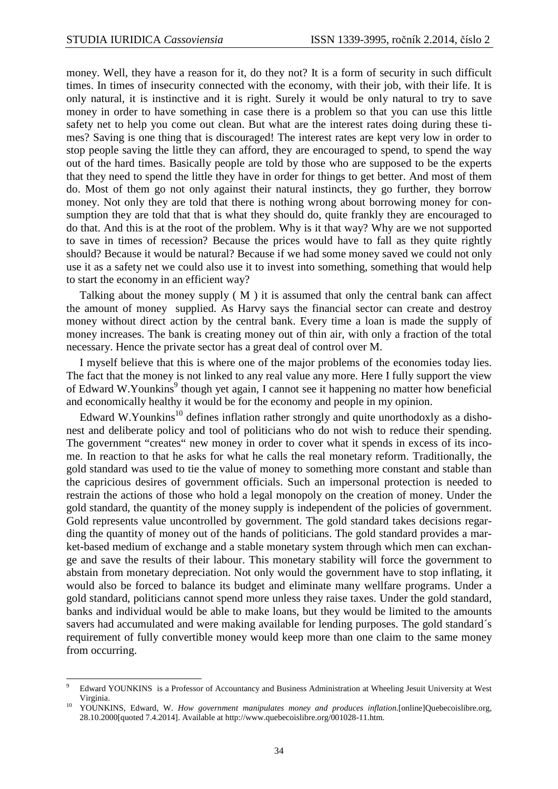l

money. Well, they have a reason for it, do they not? It is a form of security in such difficult times. In times of insecurity connected with the economy, with their job, with their life. It is only natural, it is instinctive and it is right. Surely it would be only natural to try to save money in order to have something in case there is a problem so that you can use this little safety net to help you come out clean. But what are the interest rates doing during these times? Saving is one thing that is discouraged! The interest rates are kept very low in order to stop people saving the little they can afford, they are encouraged to spend, to spend the way out of the hard times. Basically people are told by those who are supposed to be the experts that they need to spend the little they have in order for things to get better. And most of them do. Most of them go not only against their natural instincts, they go further, they borrow money. Not only they are told that there is nothing wrong about borrowing money for consumption they are told that that is what they should do, quite frankly they are encouraged to do that. And this is at the root of the problem. Why is it that way? Why are we not supported to save in times of recession? Because the prices would have to fall as they quite rightly should? Because it would be natural? Because if we had some money saved we could not only use it as a safety net we could also use it to invest into something, something that would help to start the economy in an efficient way?

Talking about the money supply ( M ) it is assumed that only the central bank can affect the amount of money supplied. As Harvy says the financial sector can create and destroy money without direct action by the central bank. Every time a loan is made the supply of money increases. The bank is creating money out of thin air, with only a fraction of the total necessary. Hence the private sector has a great deal of control over M.

I myself believe that this is where one of the major problems of the economies today lies. The fact that the money is not linked to any real value any more. Here I fully support the view of Edward W. Younkins<sup>9</sup> though yet again, I cannot see it happening no matter how beneficial and economically healthy it would be for the economy and people in my opinion.

Edward W. Younkins<sup>10</sup> defines inflation rather strongly and quite unorthodoxly as a dishonest and deliberate policy and tool of politicians who do not wish to reduce their spending. The government "creates" new money in order to cover what it spends in excess of its income. In reaction to that he asks for what he calls the real monetary reform. Traditionally, the gold standard was used to tie the value of money to something more constant and stable than the capricious desires of government officials. Such an impersonal protection is needed to restrain the actions of those who hold a legal monopoly on the creation of money. Under the gold standard, the quantity of the money supply is independent of the policies of government. Gold represents value uncontrolled by government. The gold standard takes decisions regarding the quantity of money out of the hands of politicians. The gold standard provides a market-based medium of exchange and a stable monetary system through which men can exchange and save the results of their labour. This monetary stability will force the government to abstain from monetary depreciation. Not only would the government have to stop inflating, it would also be forced to balance its budget and eliminate many wellfare programs. Under a gold standard, politicians cannot spend more unless they raise taxes. Under the gold standard, banks and individual would be able to make loans, but they would be limited to the amounts savers had accumulated and were making available for lending purposes. The gold standard´s requirement of fully convertible money would keep more than one claim to the same money from occurring.

<sup>9</sup> Edward YOUNKINS is a Professor of Accountancy and Business Administration at Wheeling Jesuit University at West Virginia.

<sup>10</sup> YOUNKINS, Edward, W. *How government manipulates money and produces inflation.*[online]Quebecoislibre.org, 28.10.2000[quoted 7.4.2014]. Available at http://www.quebecoislibre.org/001028-11.htm.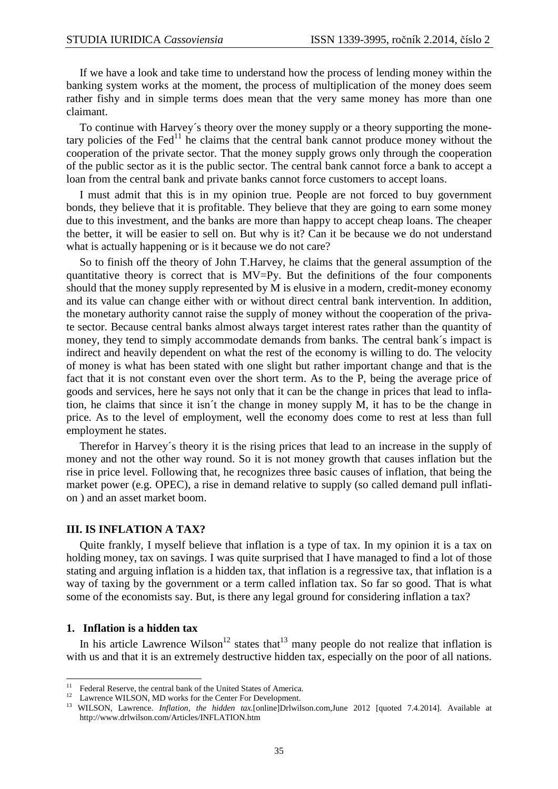If we have a look and take time to understand how the process of lending money within the banking system works at the moment, the process of multiplication of the money does seem rather fishy and in simple terms does mean that the very same money has more than one claimant.

To continue with Harvey´s theory over the money supply or a theory supporting the monetary policies of the Fed<sup>11</sup> he claims that the central bank cannot produce money without the cooperation of the private sector. That the money supply grows only through the cooperation of the public sector as it is the public sector. The central bank cannot force a bank to accept a loan from the central bank and private banks cannot force customers to accept loans.

I must admit that this is in my opinion true. People are not forced to buy government bonds, they believe that it is profitable. They believe that they are going to earn some money due to this investment, and the banks are more than happy to accept cheap loans. The cheaper the better, it will be easier to sell on. But why is it? Can it be because we do not understand what is actually happening or is it because we do not care?

So to finish off the theory of John T.Harvey, he claims that the general assumption of the quantitative theory is correct that is  $MV=Py$ . But the definitions of the four components should that the money supply represented by M is elusive in a modern, credit-money economy and its value can change either with or without direct central bank intervention. In addition, the monetary authority cannot raise the supply of money without the cooperation of the private sector. Because central banks almost always target interest rates rather than the quantity of money, they tend to simply accommodate demands from banks. The central bank´s impact is indirect and heavily dependent on what the rest of the economy is willing to do. The velocity of money is what has been stated with one slight but rather important change and that is the fact that it is not constant even over the short term. As to the P, being the average price of goods and services, here he says not only that it can be the change in prices that lead to inflation, he claims that since it isn´t the change in money supply M, it has to be the change in price. As to the level of employment, well the economy does come to rest at less than full employment he states.

Therefor in Harvey´s theory it is the rising prices that lead to an increase in the supply of money and not the other way round. So it is not money growth that causes inflation but the rise in price level. Following that, he recognizes three basic causes of inflation, that being the market power (e.g. OPEC), a rise in demand relative to supply (so called demand pull inflation ) and an asset market boom.

#### **III. IS INFLATION A TAX?**

Quite frankly, I myself believe that inflation is a type of tax. In my opinion it is a tax on holding money, tax on savings. I was quite surprised that I have managed to find a lot of those stating and arguing inflation is a hidden tax, that inflation is a regressive tax, that inflation is a way of taxing by the government or a term called inflation tax. So far so good. That is what some of the economists say. But, is there any legal ground for considering inflation a tax?

#### **1. Inflation is a hidden tax**

l

In his article Lawrence Wilson<sup>12</sup> states that<sup>13</sup> many people do not realize that inflation is with us and that it is an extremely destructive hidden tax, especially on the poor of all nations.

 $11$  Federal Reserve, the central bank of the United States of America.

<sup>12</sup> Lawrence WILSON, MD works for the Center For Development.

<sup>&</sup>lt;sup>13</sup> WILSON, Lawrence. *Inflation, the hidden tax*.[online]Drlwilson.com,June 2012 [quoted 7.4.2014]. Available at http://www.drlwilson.com/Articles/INFLATION.htm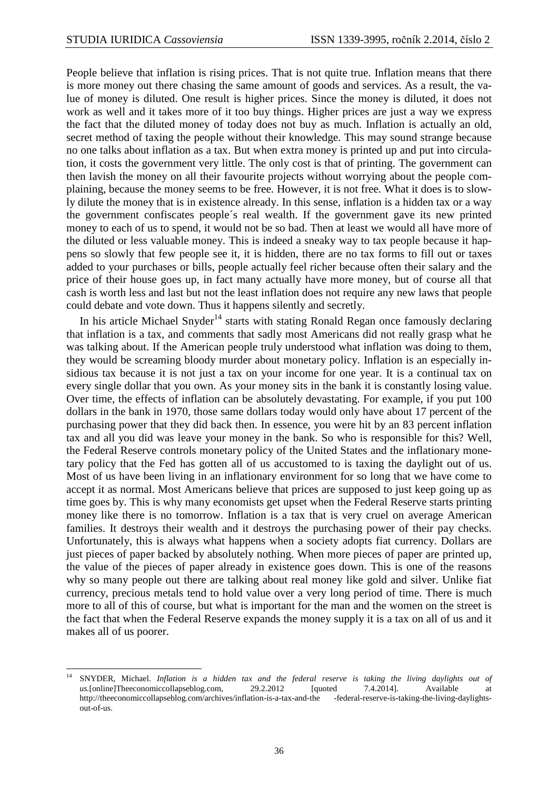l

People believe that inflation is rising prices. That is not quite true. Inflation means that there is more money out there chasing the same amount of goods and services. As a result, the value of money is diluted. One result is higher prices. Since the money is diluted, it does not work as well and it takes more of it too buy things. Higher prices are just a way we express the fact that the diluted money of today does not buy as much. Inflation is actually an old, secret method of taxing the people without their knowledge. This may sound strange because no one talks about inflation as a tax. But when extra money is printed up and put into circulation, it costs the government very little. The only cost is that of printing. The government can then lavish the money on all their favourite projects without worrying about the people complaining, because the money seems to be free. However, it is not free. What it does is to slowly dilute the money that is in existence already. In this sense, inflation is a hidden tax or a way the government confiscates people´s real wealth. If the government gave its new printed money to each of us to spend, it would not be so bad. Then at least we would all have more of the diluted or less valuable money. This is indeed a sneaky way to tax people because it happens so slowly that few people see it, it is hidden, there are no tax forms to fill out or taxes added to your purchases or bills, people actually feel richer because often their salary and the price of their house goes up, in fact many actually have more money, but of course all that cash is worth less and last but not the least inflation does not require any new laws that people could debate and vote down. Thus it happens silently and secretly.

In his article Michael Snyder<sup>14</sup> starts with stating Ronald Regan once famously declaring that inflation is a tax, and comments that sadly most Americans did not really grasp what he was talking about. If the American people truly understood what inflation was doing to them, they would be screaming bloody murder about monetary policy. Inflation is an especially insidious tax because it is not just a tax on your income for one year. It is a continual tax on every single dollar that you own. As your money sits in the bank it is constantly losing value. Over time, the effects of inflation can be absolutely devastating. For example, if you put 100 dollars in the bank in 1970, those same dollars today would only have about 17 percent of the purchasing power that they did back then. In essence, you were hit by an 83 percent inflation tax and all you did was leave your money in the bank. So who is responsible for this? Well, the Federal Reserve controls monetary policy of the United States and the inflationary monetary policy that the Fed has gotten all of us accustomed to is taxing the daylight out of us. Most of us have been living in an inflationary environment for so long that we have come to accept it as normal. Most Americans believe that prices are supposed to just keep going up as time goes by. This is why many economists get upset when the Federal Reserve starts printing money like there is no tomorrow. Inflation is a tax that is very cruel on average American families. It destroys their wealth and it destroys the purchasing power of their pay checks. Unfortunately, this is always what happens when a society adopts fiat currency. Dollars are just pieces of paper backed by absolutely nothing. When more pieces of paper are printed up, the value of the pieces of paper already in existence goes down. This is one of the reasons why so many people out there are talking about real money like gold and silver. Unlike fiat currency, precious metals tend to hold value over a very long period of time. There is much more to all of this of course, but what is important for the man and the women on the street is the fact that when the Federal Reserve expands the money supply it is a tax on all of us and it makes all of us poorer.

<sup>14</sup> SNYDER, Michael. *Inflation is a hidden tax and the federal reserve is taking the living daylights out of us.*[online]Theeconomiccollapseblog.com, 29.2.2012 [quoted 7.4.2014]. Available at http://theeconomiccollapseblog.com/archives/inflation-is-a-tax-and-the -federal-reserve-is-taking-the-living-daylightsout-of-us.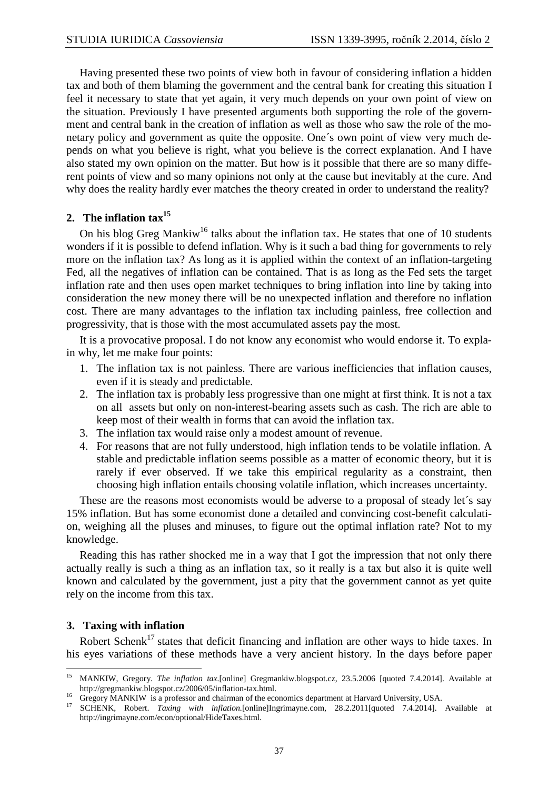Having presented these two points of view both in favour of considering inflation a hidden tax and both of them blaming the government and the central bank for creating this situation I feel it necessary to state that yet again, it very much depends on your own point of view on the situation. Previously I have presented arguments both supporting the role of the government and central bank in the creation of inflation as well as those who saw the role of the monetary policy and government as quite the opposite. One´s own point of view very much depends on what you believe is right, what you believe is the correct explanation. And I have also stated my own opinion on the matter. But how is it possible that there are so many different points of view and so many opinions not only at the cause but inevitably at the cure. And why does the reality hardly ever matches the theory created in order to understand the reality?

#### **2. The inflation tax<sup>15</sup>**

On his blog Greg Mankiw<sup>16</sup> talks about the inflation tax. He states that one of 10 students wonders if it is possible to defend inflation. Why is it such a bad thing for governments to rely more on the inflation tax? As long as it is applied within the context of an inflation-targeting Fed, all the negatives of inflation can be contained. That is as long as the Fed sets the target inflation rate and then uses open market techniques to bring inflation into line by taking into consideration the new money there will be no unexpected inflation and therefore no inflation cost. There are many advantages to the inflation tax including painless, free collection and progressivity, that is those with the most accumulated assets pay the most.

It is a provocative proposal. I do not know any economist who would endorse it. To explain why, let me make four points:

- 1. The inflation tax is not painless. There are various inefficiencies that inflation causes, even if it is steady and predictable.
- 2. The inflation tax is probably less progressive than one might at first think. It is not a tax on all assets but only on non-interest-bearing assets such as cash. The rich are able to keep most of their wealth in forms that can avoid the inflation tax.
- 3. The inflation tax would raise only a modest amount of revenue.
- 4. For reasons that are not fully understood, high inflation tends to be volatile inflation. A stable and predictable inflation seems possible as a matter of economic theory, but it is rarely if ever observed. If we take this empirical regularity as a constraint, then choosing high inflation entails choosing volatile inflation, which increases uncertainty.

These are the reasons most economists would be adverse to a proposal of steady let´s say 15% inflation. But has some economist done a detailed and convincing cost-benefit calculation, weighing all the pluses and minuses, to figure out the optimal inflation rate? Not to my knowledge.

Reading this has rather shocked me in a way that I got the impression that not only there actually really is such a thing as an inflation tax, so it really is a tax but also it is quite well known and calculated by the government, just a pity that the government cannot as yet quite rely on the income from this tax.

#### **3. Taxing with inflation**

l

Robert Schenk<sup>17</sup> states that deficit financing and inflation are other ways to hide taxes. In his eyes variations of these methods have a very ancient history. In the days before paper

<sup>15</sup> MANKIW, Gregory. *The inflation tax.*[online] Gregmankiw.blogspot.cz*,* 23.5.2006 [quoted 7.4.2014]. Available at http://gregmankiw.blogspot.cz/2006/05/inflation-tax.html.

<sup>&</sup>lt;sup>16</sup> Gregory MANKIW is a professor and chairman of the economics department at Harvard University, USA.

<sup>17</sup> SCHENK, Robert. *Taxing with inflation.*[online]Ingrimayne.com, 28.2.2011[quoted 7.4.2014]. Available at http://ingrimayne.com/econ/optional/HideTaxes.html.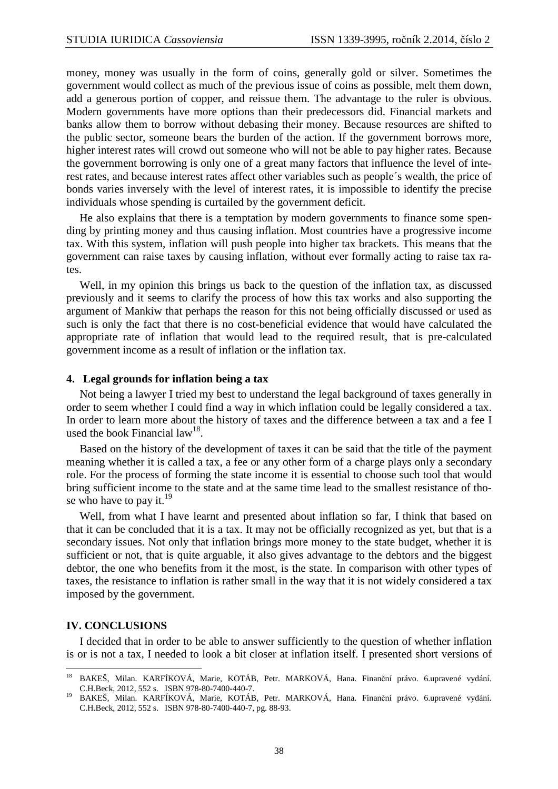money, money was usually in the form of coins, generally gold or silver. Sometimes the government would collect as much of the previous issue of coins as possible, melt them down, add a generous portion of copper, and reissue them. The advantage to the ruler is obvious. Modern governments have more options than their predecessors did. Financial markets and banks allow them to borrow without debasing their money. Because resources are shifted to the public sector, someone bears the burden of the action. If the government borrows more, higher interest rates will crowd out someone who will not be able to pay higher rates. Because the government borrowing is only one of a great many factors that influence the level of interest rates, and because interest rates affect other variables such as people´s wealth, the price of bonds varies inversely with the level of interest rates, it is impossible to identify the precise individuals whose spending is curtailed by the government deficit.

He also explains that there is a temptation by modern governments to finance some spending by printing money and thus causing inflation. Most countries have a progressive income tax. With this system, inflation will push people into higher tax brackets. This means that the government can raise taxes by causing inflation, without ever formally acting to raise tax rates.

Well, in my opinion this brings us back to the question of the inflation tax, as discussed previously and it seems to clarify the process of how this tax works and also supporting the argument of Mankiw that perhaps the reason for this not being officially discussed or used as such is only the fact that there is no cost-beneficial evidence that would have calculated the appropriate rate of inflation that would lead to the required result, that is pre-calculated government income as a result of inflation or the inflation tax.

#### **4. Legal grounds for inflation being a tax**

Not being a lawyer I tried my best to understand the legal background of taxes generally in order to seem whether I could find a way in which inflation could be legally considered a tax. In order to learn more about the history of taxes and the difference between a tax and a fee I used the book Financial law<sup>18</sup>.

Based on the history of the development of taxes it can be said that the title of the payment meaning whether it is called a tax, a fee or any other form of a charge plays only a secondary role. For the process of forming the state income it is essential to choose such tool that would bring sufficient income to the state and at the same time lead to the smallest resistance of those who have to pay it. $^{19}$ 

Well, from what I have learnt and presented about inflation so far, I think that based on that it can be concluded that it is a tax. It may not be officially recognized as yet, but that is a secondary issues. Not only that inflation brings more money to the state budget, whether it is sufficient or not, that is quite arguable, it also gives advantage to the debtors and the biggest debtor, the one who benefits from it the most, is the state. In comparison with other types of taxes, the resistance to inflation is rather small in the way that it is not widely considered a tax imposed by the government.

#### **IV. CONCLUSIONS**

l

I decided that in order to be able to answer sufficiently to the question of whether inflation is or is not a tax, I needed to look a bit closer at inflation itself. I presented short versions of

<sup>&</sup>lt;sup>18</sup> BAKEŠ, Milan. KARFÍKOVÁ, Marie, KOTÁB, Petr. MARKOVÁ, Hana. Finanční právo. 6.upravené vydání. C.H.Beck, 2012, 552 s. ISBN 978-80-7400-440-7.

<sup>&</sup>lt;sup>19</sup> BAKEŠ, Milan. KARFÍKOVÁ, Marie, KOTÁB, Petr. MARKOVÁ, Hana. Finanční právo. 6.upravené vydání. C.H.Beck, 2012, 552 s. ISBN 978-80-7400-440-7, pg. 88-93.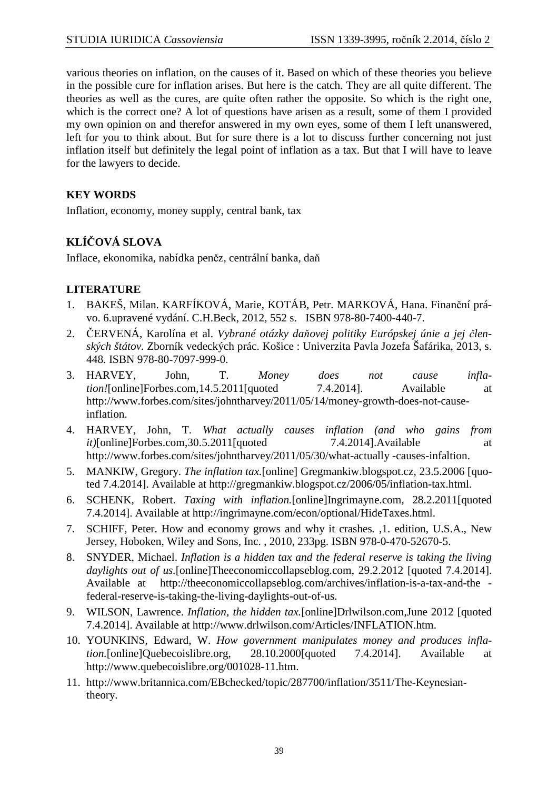various theories on inflation, on the causes of it. Based on which of these theories you believe in the possible cure for inflation arises. But here is the catch. They are all quite different. The theories as well as the cures, are quite often rather the opposite. So which is the right one, which is the correct one? A lot of questions have arisen as a result, some of them I provided my own opinion on and therefor answered in my own eyes, some of them I left unanswered, left for you to think about. But for sure there is a lot to discuss further concerning not just inflation itself but definitely the legal point of inflation as a tax. But that I will have to leave for the lawyers to decide.

## **KEY WORDS**

Inflation, economy, money supply, central bank, tax

## **KLÍČOVÁ SLOVA**

Inflace, ekonomika, nabídka peněz, centrální banka, daň

## **LITERATURE**

- 1. BAKEŠ, Milan. KARFÍKOVÁ, Marie, KOTÁB, Petr. MARKOVÁ, Hana. Finanční právo. 6.upravené vydání. C.H.Beck, 2012, 552 s. ISBN 978-80-7400-440-7.
- 2. ČERVENÁ, Karolína et al. *Vybrané otázky daňovej politiky Európskej únie a jej členských štátov.* Zborník vedeckých prác. Košice : Univerzita Pavla Jozefa Šafárika, 2013, s. 448. ISBN 978-80-7097-999-0.
- 3. HARVEY, John, T. *Money does not cause inflation!*[online]Forbes.com,14.5.2011[quoted 7.4.2014]. Available at http://www.forbes.com/sites/johntharvey/2011/05/14/money-growth-does-not-causeinflation.
- 4. HARVEY, John, T. *What actually causes inflation (and who gains from it)*[online]Forbes.com,30.5.2011[quoted 7.4.2014].Available at http://www.forbes.com/sites/johntharvey/2011/05/30/what-actually -causes-infaltion.
- 5. MANKIW, Gregory. *The inflation tax.*[online] Gregmankiw.blogspot.cz*,* 23.5.2006 [quoted 7.4.2014]. Available at http://gregmankiw.blogspot.cz/2006/05/inflation-tax.html.
- 6. SCHENK, Robert. *Taxing with inflation.*[online]Ingrimayne.com, 28.2.2011[quoted 7.4.2014]. Available at http://ingrimayne.com/econ/optional/HideTaxes.html.
- 7. SCHIFF, Peter. How and economy grows and why it crashes*.* ,1. edition, U.S.A., New Jersey, Hoboken, Wiley and Sons, Inc. , 2010, 233pg. ISBN 978-0-470-52670-5.
- 8. SNYDER, Michael. *Inflation is a hidden tax and the federal reserve is taking the living daylights out of us.*[online]Theeconomiccollapseblog.com, 29.2.2012 [quoted 7.4.2014]. Available at http://theeconomiccollapseblog.com/archives/inflation-is-a-tax-and-the federal-reserve-is-taking-the-living-daylights-out-of-us.
- 9. WILSON, Lawrence. *Inflation, the hidden tax.*[online]Drlwilson.com,June 2012 [quoted 7.4.2014]. Available at http://www.drlwilson.com/Articles/INFLATION.htm.
- 10. YOUNKINS, Edward, W. *How government manipulates money and produces inflation.*[online]Quebecoislibre.org, 28.10.2000[quoted 7.4.2014]. Available at http://www.quebecoislibre.org/001028-11.htm.
- 11. http://www.britannica.com/EBchecked/topic/287700/inflation/3511/The-Keynesiantheory.